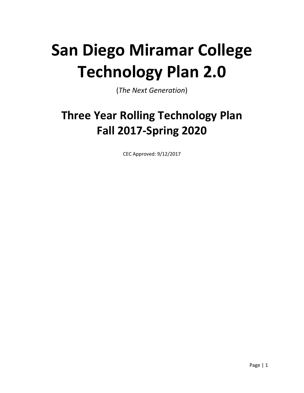# **San Diego Miramar College Technology Plan 2.0**

(*The Next Generation*)

## **Three Year Rolling Technology Plan Fall 2017-Spring 2020**

CEC Approved: 9/12/2017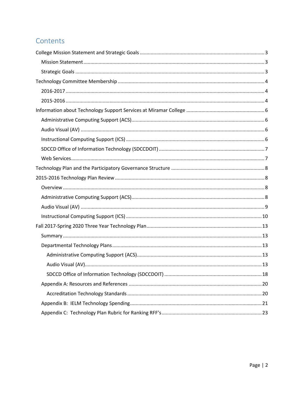## Contents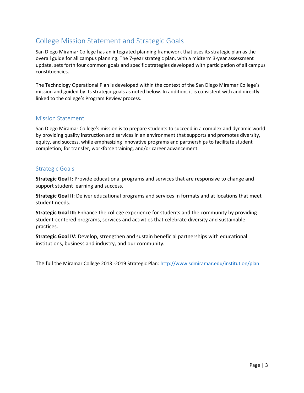## <span id="page-2-0"></span>College Mission Statement and Strategic Goals

San Diego Miramar College has an integrated planning framework that uses its strategic plan as the overall guide for all campus planning. The 7-year strategic plan, with a midterm 3-year assessment update, sets forth four common goals and specific strategies developed with participation of all campus constituencies.

The Technology Operational Plan is developed within the context of the San Diego Miramar College's mission and guided by its strategic goals as noted below. In addition, it is consistent with and directly linked to the college's Program Review process.

#### <span id="page-2-1"></span>Mission Statement

San Diego Miramar College's mission is to prepare students to succeed in a complex and dynamic world by providing quality instruction and services in an environment that supports and promotes diversity, equity, and success, while emphasizing innovative programs and partnerships to facilitate student completion; for transfer, workforce training, and/or career advancement.

#### <span id="page-2-2"></span>Strategic Goals

**Strategic Goal I:** Provide educational programs and services that are responsive to change and support student learning and success.

**Strategic Goal II:** Deliver educational programs and services in formats and at locations that meet student needs.

**Strategic Goal III:** Enhance the college experience for students and the community by providing student-centered programs, services and activities that celebrate diversity and sustainable practices.

**Strategic Goal IV:** Develop, strengthen and sustain beneficial partnerships with educational institutions, business and industry, and our community.

The full the Miramar College 2013 -2019 Strategic Plan:<http://www.sdmiramar.edu/institution/plan>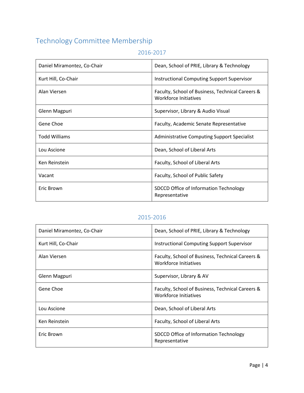## <span id="page-3-0"></span>Technology Committee Membership

<span id="page-3-1"></span>

| Daniel Miramontez, Co-Chair | Dean, School of PRIE, Library & Technology                                |
|-----------------------------|---------------------------------------------------------------------------|
| Kurt Hill, Co-Chair         | <b>Instructional Computing Support Supervisor</b>                         |
| Alan Viersen                | Faculty, School of Business, Technical Careers &<br>Workforce Initiatives |
| Glenn Magpuri               | Supervisor, Library & Audio Visual                                        |
| Gene Choe                   | Faculty, Academic Senate Representative                                   |
| <b>Todd Williams</b>        | <b>Administrative Computing Support Specialist</b>                        |
| Lou Ascione                 | Dean, School of Liberal Arts                                              |
| Ken Reinstein               | Faculty, School of Liberal Arts                                           |
| Vacant                      | Faculty, School of Public Safety                                          |
| <b>Fric Brown</b>           | SDCCD Office of Information Technology<br>Representative                  |

## 2016-2017

## 2015-2016

<span id="page-3-2"></span>

| Daniel Miramontez, Co-Chair | Dean, School of PRIE, Library & Technology                                |
|-----------------------------|---------------------------------------------------------------------------|
| Kurt Hill, Co-Chair         | <b>Instructional Computing Support Supervisor</b>                         |
| Alan Viersen                | Faculty, School of Business, Technical Careers &<br>Workforce Initiatives |
| Glenn Magpuri               | Supervisor, Library & AV                                                  |
| Gene Choe                   | Faculty, School of Business, Technical Careers &<br>Workforce Initiatives |
| Lou Ascione                 | Dean, School of Liberal Arts                                              |
| Ken Reinstein               | Faculty, School of Liberal Arts                                           |
| Eric Brown                  | SDCCD Office of Information Technology<br>Representative                  |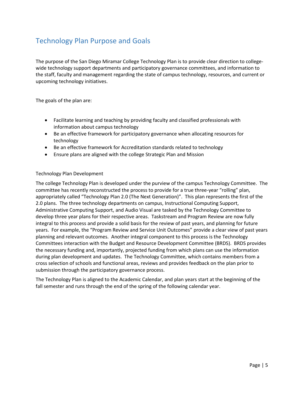## Technology Plan Purpose and Goals

The purpose of the San Diego Miramar College Technology Plan is to provide clear direction to collegewide technology support departments and participatory governance committees, and information to the staff, faculty and management regarding the state of campus technology, resources, and current or upcoming technology initiatives.

The goals of the plan are:

- Facilitate learning and teaching by providing faculty and classified professionals with information about campus technology
- Be an effective framework for participatory governance when allocating resources for technology
- Be an effective framework for Accreditation standards related to technology
- Ensure plans are aligned with the college Strategic Plan and Mission

#### Technology Plan Development

The college Technology Plan is developed under the purview of the campus Technology Committee. The committee has recently reconstructed the process to provide for a true three-year "rolling" plan, appropriately called "Technology Plan 2.0 (The Next Generation)". This plan represents the first of the 2.0 plans. The three technology departments on campus, Instructional Computing Support, Administrative Computing Support, and Audio Visual are tasked by the Technology Committee to develop three year plans for their respective areas. Taskstream and Program Review are now fully integral to this process and provide a solid basis for the review of past years, and planning for future years. For example, the "Program Review and Service Unit Outcomes" provide a clear view of past years planning and relevant outcomes. Another integral component to this process is the Technology Committees interaction with the Budget and Resource Development Committee (BRDS). BRDS provides the necessary funding and, importantly, projected funding from which plans can use the information during plan development and updates. The Technology Committee, which contains members from a cross selection of schools and functional areas, reviews and provides feedback on the plan prior to submission through the participatory governance process.

The Technology Plan is aligned to the Academic Calendar, and plan years start at the beginning of the fall semester and runs through the end of the spring of the following calendar year.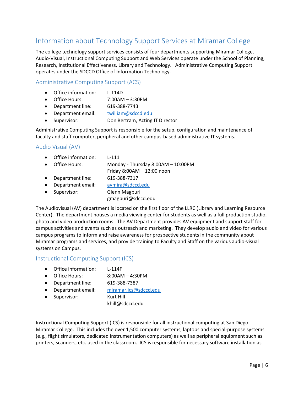## <span id="page-5-0"></span>Information about Technology Support Services at Miramar College

The college technology support services consists of four departments supporting Miramar College. Audio-Visual, Instructional Computing Support and Web Services operate under the School of Planning, Research, Institutional Effectiveness, Library and Technology. Administrative Computing Support operates under the SDCCD Office of Information Technology.

#### <span id="page-5-1"></span>Administrative Computing Support (ACS)

- Office information: L-114D
- Office Hours: 7:00AM 3:30PM
- Department line: 619-388-7743
- Department email: [twilliam@sdccd.edu](mailto:twilliam@sdccd.edu)
- Supervisor: Don Bertram, Acting IT Director

Administrative Computing Support is responsible for the setup, configuration and maintenance of faculty and staff computer, peripheral and other campus-based administrative IT systems.

#### <span id="page-5-2"></span>Audio Visual (AV)

- Office information: L-111 Office Hours: Monday - Thursday 8:00AM – 10:00PM Friday 8:00AM – 12:00 noon Department line: 619-388-7317 • Department email: [avmira@sdccd.edu](mailto:avmira@sdccd.edu)
- Supervisor: Glenn Magpuri
	- gmagpuri@sdccd.edu

The Audiovisual (AV) department is located on the first floor of the LLRC (Library and Learning Resource Center). The department houses a media viewing center for students as well as a full production studio, photo and video production rooms. The AV Department provides AV equipment and support staff for campus activities and events such as outreach and marketing. They develop audio and video for various campus programs to inform and raise awareness for prospective students in the community about Miramar programs and services, and provide training to Faculty and Staff on the various audio-visual systems on Campus.

#### <span id="page-5-3"></span>Instructional Computing Support (ICS)

- Office information: L-114F
- Office Hours: 8:00AM 4:30PM
- Department line: 619-388-7387
- Department email: [miramar.ics@sdccd.edu](mailto:miramar.ics@sdccd.edu)
- Supervisor: Kurt Hill
	- khill@sdccd.edu

Instructional Computing Support (ICS) is responsible for all instructional computing at San Diego Miramar College. This includes the over 1,500 computer systems, laptops and special-purpose systems (e.g., flight simulators, dedicated instrumentation computers) as well as peripheral equipment such as printers, scanners, etc. used in the classroom. ICS is responsible for necessary software installation as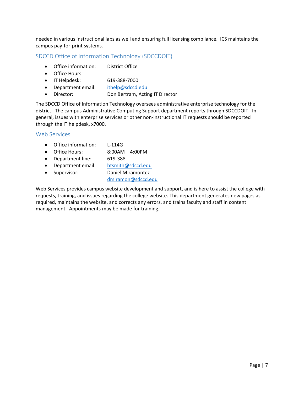needed in various instructional labs as well and ensuring full licensing compliance. ICS maintains the campus pay-for-print systems.

#### <span id="page-6-0"></span>SDCCD Office of Information Technology (SDCCDOIT)

- Office information: District Office
- Office Hours:
- IT Helpdesk: 619-388-7000
- Department email: [ithelp@sdccd.edu](mailto:ithelp@sdccd.edu)
- Director: Don Bertram, Acting IT Director

The SDCCD Office of Information Technology oversees administrative enterprise technology for the district. The campus Administrative Computing Support department reports through SDCCDOIT. In general, issues with enterprise services or other non-instructional IT requests should be reported through the IT helpdesk, x7000.

#### <span id="page-6-1"></span>Web Services

- Office information: L-114G
- Office Hours: 8:00AM 4:00PM
- Department line: 619-388-
- Department email: [btsmith@sdccd.edu](mailto:btsmith@sdccd.edu)
- Supervisor: Daniel Miramontez [dmiramon@sdccd.edu](mailto:dmiramon@sdccd.edu)

Web Services provides campus website development and support, and is here to assist the college with requests, training, and issues regarding the college website. This department generates new pages as required, maintains the website, and corrects any errors, and trains faculty and staff in content management. Appointments may be made for training.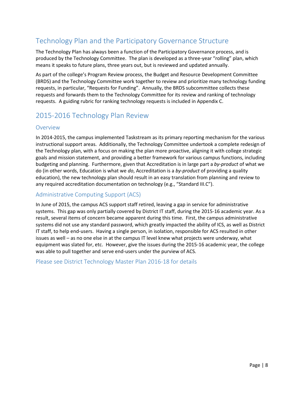## <span id="page-7-0"></span>Technology Plan and the Participatory Governance Structure

The Technology Plan has always been a function of the Participatory Governance process, and is produced by the Technology Committee. The plan is developed as a three-year "rolling" plan, which means it speaks to future plans, three years out, but is reviewed and updated annually.

As part of the college's Program Review process, the Budget and Resource Development Committee (BRDS) and the Technology Committee work together to review and prioritize many technology funding requests, in particular, "Requests for Funding". Annually, the BRDS subcommittee collects these requests and forwards them to the Technology Committee for its review and ranking of technology requests. A guiding rubric for ranking technology requests is included in Appendix C.

## <span id="page-7-1"></span>2015-2016 Technology Plan Review

#### <span id="page-7-2"></span>**Overview**

In 2014-2015, the campus implemented Taskstream as its primary reporting mechanism for the various instructional support areas. Additionally, the Technology Committee undertook a complete redesign of the Technology plan, with a focus on making the plan more proactive, aligning it with college strategic goals and mission statement, and providing a better framework for various campus functions, including budgeting and planning. Furthermore, given that Accreditation is in large part a *by-product* of what we do (in other words, Education is what we *do*, Accreditation is a *by-product* of providing a quality education), the new technology plan should result in an easy translation from planning and review to any required accreditation documentation on technology (e.g., "Standard III.C").

#### <span id="page-7-3"></span>Administrative Computing Support (ACS)

In June of 2015, the campus ACS support staff retired, leaving a gap in service for administrative systems. This gap was only partially covered by District IT staff, during the 2015-16 academic year. As a result, several items of concern became apparent during this time. First, the campus administrative systems did not use any standard password, which greatly impacted the ability of ICS, as well as District IT staff, to help end-users. Having a single person, in isolation, responsible for ACS resulted in other issues as well – as no one else in at the campus IT level knew what projects were underway, what equipment was slated for, etc. However, give the issues during the 2015-16 academic year, the college was able to pull together and serve end-users under the purview of ACS.

Please see District Technology Master Plan 2016-18 for details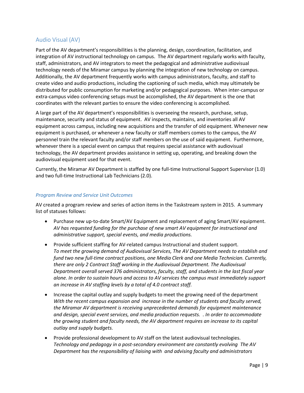#### <span id="page-8-0"></span>Audio Visual (AV)

Part of the AV department's responsibilities is the planning, design, coordination, facilitation, and integration of AV instructional technology on campus. The AV department regularly works with faculty, staff, administrators, and AV integrators to meet the pedagogical and administrative audiovisual technology needs of the Miramar campus by planning the integration of new technology on campus. Additionally, the AV department frequently works with campus administrators, faculty, and staff to create video and audio productions, including the captioning of such media, which may ultimately be distributed for public consumption for marketing and/or pedagogical purposes. When inter-campus or extra-campus video conferencing setups must be accomplished, the AV department is the one that coordinates with the relevant parties to ensure the video conferencing is accomplished.

A large part of the AV department's responsibilities is overseeing the research, purchase, setup, maintenance, security and status of equipment. AV inspects, maintains, and inventories all AV equipment across campus, including new acquisitions and the transfer of old equipment. Whenever new equipment is purchased, or whenever a new faculty or staff members comes to the campus, the AV personnel train the relevant faculty and/or staff members on the use of said equipment. Furthermore, whenever there is a special event on campus that requires special assistance with audiovisual technology, the AV department provides assistance in setting up, operating, and breaking down the audiovisual equipment used for that event.

Currently, the Miramar AV Department is staffed by one full-time Instructional Support Supervisor (1.0) and two full-time Instructional Lab Technicians (2.0).

#### *Program Review and Service Unit Outcomes*

AV created a program review and series of action items in the Taskstream system in 2015. A summary list of statuses follows:

- Purchase new up-to-date Smart/AV Equipment and replacement of aging Smart/AV equipment. *AV has requested funding for the purchase of new smart AV equipment for instructional and administrative support, special events, and media productions.*
- Provide sufficient staffing for AV-related campus Instructional and student support. *To meet the growing demand of Audiovisual Services, The AV Department needs to establish and fund two new full-time contract positions, one Media Clerk and one Media Technician. Currently, there are only 2 Contract Staff working in the Audiovisual Department. The Audiovisual Department overall served 376 administrators, faculty, staff, and students in the last fiscal year alone. In order to sustain hours and access to AV services the campus must immediately support an increase in AV staffing levels by a total of 4.0 contract staff.*
- Increase the capital outlay and supply budgets to meet the growing need of the department *With the recent campus expansion and increase in the number of students and faculty served, the Miramar AV department is receiving unprecedented demands for equipment maintenance and design, special event services, and media production requests. . In order to accommodate the growing student and faculty needs, the AV department requires an increase to its capital outlay and supply budgets.*
- Provide professional development to AV staff on the latest audiovisual technologies. *Technology and pedagogy in a post-secondary environment are constantly evolving The AV Department has the responsibility of liaising with and advising faculty and administrators*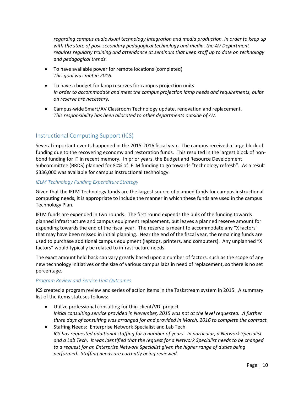*regarding campus audiovisual technology integration and media production. In order to keep up*  with the state of post-secondary pedagogical technology and media, the AV Department *requires regularly training and attendance at seminars that keep staff up to date on technology and pedagogical trends.*

- To have available power for remote locations (completed) *This goal was met in 2016.*
- To have a budget for lamp reserves for campus projection units *In order to accommodate and meet the campus projection lamp needs and requirements, bulbs on reserve are necessary.*
- Campus-wide Smart/AV Classroom Technology update, renovation and replacement. *This responsibility has been allocated to other departments outside of AV.*

#### <span id="page-9-0"></span>Instructional Computing Support (ICS)

Several important events happened in the 2015-2016 fiscal year. The campus received a large block of funding due to the recovering economy and restoration funds. This resulted in the largest block of nonbond funding for IT in recent memory. In prior years, the Budget and Resource Development Subcommittee (BRDS) planned for 80% of IELM funding to go towards "technology refresh". As a result \$336,000 was available for campus instructional technology.

#### *IELM Technology Funding Expenditure Strategy*

Given that the IELM Technology funds are the largest source of planned funds for campus instructional computing needs, it is appropriate to include the manner in which these funds are used in the campus Technology Plan.

IELM funds are expended in two rounds. The first round expends the bulk of the funding towards planned infrastructure and campus equipment replacement, but leaves a planned reserve amount for expending towards the end of the fiscal year. The reserve is meant to accommodate any "X factors" that may have been missed in initial planning. Near the end of the fiscal year, the remaining funds are used to purchase additional campus equipment (laptops, printers, and computers). Any unplanned "X factors" would typically be related to infrastructure needs.

The exact amount held back can vary greatly based upon a number of factors, such as the scope of any new technology initiatives or the size of various campus labs in need of replacement, so there is no set percentage.

#### *Program Review and Service Unit Outcomes*

ICS created a program review and series of action items in the Taskstream system in 2015. A summary list of the items statuses follows:

- Utilize professional consulting for thin-client/VDI project *Initial consulting service provided in November, 2015 was not at the level requested. A further three days of consulting was arranged for and provided in March, 2016 to complete the contract.*
- Staffing Needs: Enterprise Network Specialist and Lab Tech *ICS has requested additional staffing for a number of years. In particular, a Network Specialist and a Lab Tech. It was identified that the request for a Network Specialist needs to be changed to a request for an Enterprise Network Specialist given the higher range of duties being performed. Staffing needs are currently being reviewed.*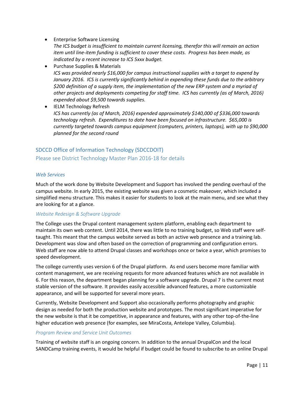• Enterprise Software Licensing

*The ICS budget is insufficient to maintain current licensing, therefor this will remain an action item until line-item funding is sufficient to cover these costs. Progress has been made, as indicated by a recent increase to ICS 5xxx budget.*

- Purchase Supplies & Materials *ICS was provided nearly \$16,000 for campus instructional supplies with a target to expend by January 2016. ICS is currently significantly behind in expending these funds due to the arbitrary \$200 definition of a supply item, the implementation of the new ERP system and a myriad of other projects and deployments competing for staff time. ICS has currently (as of March, 2016) expended about \$9,500 towards supplies.*
- IELM Technology Refresh *ICS has currently (as of March, 2016) expended approximately \$140,000 of \$336,000 towards technology refresh. Expenditures to date have been focused on infrastructure. \$65,000 is currently targeted towards campus equipment (computers, printers, laptops), with up to \$90,000 planned for the second round*

## SDCCD Office of Information Technology (SDCCDOIT) Please see District Technology Master Plan 2016-18 for details

#### *Web Services*

Much of the work done by Website Development and Support has involved the pending overhaul of the campus website. In early 2015, the existing website was given a cosmetic makeover, which included a simplified menu structure. This makes it easier for students to look at the main menu, and see what they are looking for at a glance.

#### *Website Redesign & Software Upgrade*

The College uses the Drupal content management system platform, enabling each department to maintain its own web content. Until 2014, there was little to no training budget, so Web staff were selftaught. This meant that the campus website served as both an active web presence and a training lab. Development was slow and often based on the correction of programming and configuration errors. Web staff are now able to attend Drupal classes and workshops once or twice a year, which promises to speed development.

The college currently uses version 6 of the Drupal platform. As end users become more familiar with content management, we are receiving requests for more advanced features which are not available in 6. For this reason, the department began planning for a software upgrade. Drupal 7 is the current most stable version of the software. It provides easily accessible advanced features, a more customizable appearance, and will be supported for several more years.

Currently, Website Development and Support also occasionally performs photography and graphic design as needed for both the production website and prototypes. The most significant imperative for the new website is that it be competitive, in appearance and features, with any other top-of-the-line higher education web presence (for examples, see MiraCosta, Antelope Valley, Columbia).

#### *Program Review and Service Unit Outcomes*

Training of website staff is an ongoing concern. In addition to the annual DrupalCon and the local SANDCamp training events, it would be helpful if budget could be found to subscribe to an online Drupal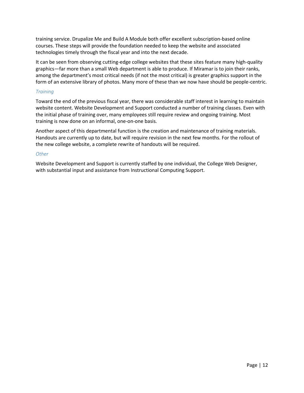training service. Drupalize Me and Build A Module both offer excellent subscription-based online courses. These steps will provide the foundation needed to keep the website and associated technologies timely through the fiscal year and into the next decade.

It can be seen from observing cutting-edge college websites that these sites feature many high-quality graphics—far more than a small Web department is able to produce. If Miramar is to join their ranks, among the department's most critical needs (if not the most critical) is greater graphics support in the form of an extensive library of photos. Many more of these than we now have should be people-centric.

#### *Training*

Toward the end of the previous fiscal year, there was considerable staff interest in learning to maintain website content. Website Development and Support conducted a number of training classes. Even with the initial phase of training over, many employees still require review and ongoing training. Most training is now done on an informal, one-on-one basis.

Another aspect of this departmental function is the creation and maintenance of training materials. Handouts are currently up to date, but will require revision in the next few months. For the rollout of the new college website, a complete rewrite of handouts will be required.

#### *Other*

Website Development and Support is currently staffed by one individual, the College Web Designer, with substantial input and assistance from Instructional Computing Support.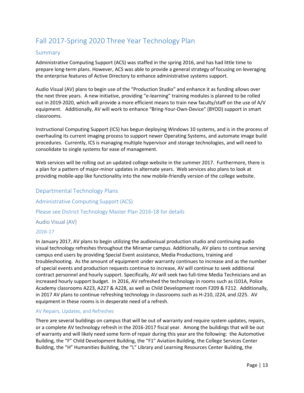## <span id="page-12-0"></span>Fall 2017-Spring 2020 Three Year Technology Plan

#### <span id="page-12-1"></span>Summary

Administrative Computing Support (ACS) was staffed in the spring 2016, and has had little time to prepare long-term plans. However, ACS was able to provide a general strategy of focusing on leveraging the enterprise features of Active Directory to enhance administrative systems support.

Audio Visual (AV) plans to begin use of the "Production Studio" and enhance it as funding allows over the next three years. A new initiative, providing "e-learning" training modules is planned to be rolled out in 2019-2020, which will provide a more efficient means to train new faculty/staff on the use of A/V equipment. Additionally, AV will work to enhance "Bring-Your-Own-Device" (BYOD) support in smart classrooms.

Instructional Computing Support (ICS) has begun deploying Windows 10 systems, and is in the process of overhauling its current imaging process to support newer Operating Systems, and automate image build procedures. Currently, ICS is managing multiple hypervisor and storage technologies, and will need to consolidate to single systems for ease of management.

Web services will be rolling out an updated college website in the summer 2017. Furthermore, there is a plan for a pattern of major-minor updates in alternate years. Web services also plans to look at providing mobile-app like functionality into the new mobile-friendly version of the college website.

#### <span id="page-12-2"></span>Departmental Technology Plans

<span id="page-12-3"></span>Administrative Computing Support (ACS)

Please see District Technology Master Plan 2016-18 for details

<span id="page-12-4"></span>Audio Visual (AV)

#### *2016-17*

In January 2017, AV plans to begin utilizing the audiovisual production studio and continuing audio visual technology refreshes throughout the Miramar campus. Additionally, AV plans to continue serving campus end users by providing Special Event assistance, Media Productions, training and troubleshooting. As the amount of equipment under warranty continues to increase and as the number of special events and production requests continue to increase, AV will continue to seek additional contract personnel and hourly support. Specifically, AV will seek two full-time Media Technicians and an increased hourly support budget. In 2016, AV refreshed the technology in rooms such as I101A, Police Academy classrooms A223, A227 & A228, as well as Child Development room F209 & F212. Additionally, in 2017 AV plans to continue refreshing technology in classrooms such as H-210, J224, and J225. AV equipment in these rooms is in desperate need of a refresh.

#### AV Repairs, Updates, and Refreshes

There are several buildings on campus that will be out of warranty and require system updates, repairs, or a complete AV technology refresh in the 2016-2017 fiscal year. Among the buildings that will be out of warranty and will likely need some form of repair during this year are the following: the Automotive Building, the "F" Child Development Building, the "F1" Aviation Building, the College Services Center Building, the "H" Humanities Building, the "L" Library and Learning Resources Center Building, the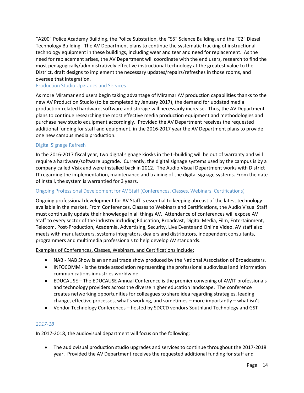"A200" Police Academy Building, the Police Substation, the "S5" Science Building, and the "C2" Diesel Technology Building. The AV Department plans to continue the systematic tracking of instructional technology equipment in these buildings, including wear and tear and need for replacement. As the need for replacement arises, the AV Department will coordinate with the end users, research to find the most pedagogically/administratively effective instructional technology at the greatest value to the District, draft designs to implement the necessary updates/repairs/refreshes in those rooms, and oversee that integration.

#### Production Studio Upgrades and Services

As more Miramar end users begin taking advantage of Miramar AV production capabilities thanks to the new AV Production Studio (to be completed by January 2017), the demand for updated media production-related hardware, software and storage will necessarily increase. Thus, the AV Department plans to continue researching the most effective media production equipment and methodologies and purchase new studio equipment accordingly. Provided the AV Department receives the requested additional funding for staff and equipment, in the 2016-2017 year the AV Department plans to provide one new campus media production.

#### Digital Signage Refresh

In the 2016-2017 fiscal year, two digital signage kiosks in the L-building will be out of warranty and will require a hardware/software upgrade. Currently, the digital signage systems used by the campus is by a company called Visix and were installed back in 2012. The Audio Visual Department works with District IT regarding the implementation, maintenance and training of the digital signage systems. From the date of install, the system is warrantied for 3 years.

#### Ongoing Professional Development for AV Staff (Conferences, Classes, Webinars, Certifications)

Ongoing professional development for AV Staff is essential to keeping abreast of the latest technology available in the market. From Conferences, Classes to Webinars and Certifications, the Audio Visual Staff must continually update their knowledge in all things AV. Attendance of conferences will expose AV Staff to every sector of the industry including Education, Broadcast, Digital Media, Film, Entertainment, Telecom, Post-Production, Academia, Advertising, Security, Live Events and Online Video. AV staff also meets with manufacturers, systems integrators, dealers and distributors, independent consultants, programmers and multimedia professionals to help develop AV standards.

Examples of Conferences, Classes, Webinars, and Certifications include:

- NAB NAB Show is an annual trade show produced by the National Association of Broadcasters.
- INFOCOMM is the trade association representing the professional audiovisual and information communications industries worldwide.
- EDUCAUSE The EDUCAUSE Annual Conference is the premier convening of AV/IT professionals and technology providers across the diverse higher education landscape. The conference creates networking opportunities for colleagues to share idea regarding strategies, leading change, effective processes, what's working, and sometimes – more importantly – what isn't.
- Vendor Technology Conferences hosted by SDCCD vendors Southland Technology and GST

#### *2017-18*

In 2017-2018, the audiovisual department will focus on the following:

 The audiovisual production studio upgrades and services to continue throughout the 2017-2018 year. Provided the AV Department receives the requested additional funding for staff and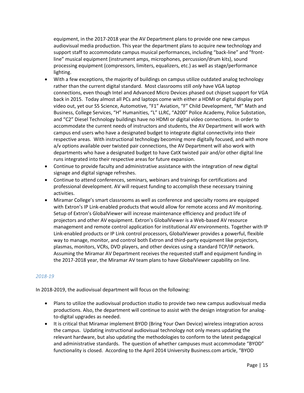equipment, in the 2017-2018 year the AV Department plans to provide one new campus audiovisual media production. This year the department plans to acquire new technology and support staff to accommodate campus musical performances, including "back-line" and "frontline" musical equipment (instrument amps, microphones, percussion/drum kits), sound processing equipment (compressors, limiters, equalizers, etc.) as well as stage/performance lighting.

- With a few exceptions, the majority of buildings on campus utilize outdated analog technology rather than the current digital standard. Most classrooms still *only* have VGA laptop connections, even though Intel and Advanced Micro Devices phased out chipset support for VGA back in 2015. Today almost all PCs and laptops come with either a HDMI or digital display port video out, yet our S5 Science, Automotive, "F1" Aviation, "F" Child Development, "M" Math and Business, College Services, "H" Humanities, "L" LLRC, "A200" Police Academy, Police Substation, and "C2" Diesel Technology buildings have no HDMI or digital video connections. In order to accommodate the current needs of instructors and students, the AV Department will work with campus end users who have a designated budget to integrate digital connectivity into their respective areas. With instructional technology becoming more digitally focused, and with more a/v options available over twisted pair connections, the AV Department will also work with departments who have a designated budget to have CatX twisted pair and/or other digital line runs integrated into their respective areas for future expansion.
- Continue to provide faculty and administrative assistance with the integration of new digital signage and digital signage refreshes.
- Continue to attend conferences, seminars, webinars and trainings for certifications and professional development. AV will request funding to accomplish these necessary training activities.
- Miramar College's smart classrooms as well as conference and specialty rooms are equipped with Extron's IP Link-enabled products that would allow for remote access and AV monitoring. Setup of Extron's GlobalViewer will increase maintenance efficiency and product life of projectors and other AV equipment. Extron's GlobalViewer is a Web-based AV resource management and remote control application for institutional AV environments. Together with IP Link-enabled products or IP Link control processors, GlobalViewer provides a powerful, flexible way to manage, monitor, and control both Extron and third-party equipment like projectors, plasmas, monitors, VCRs, DVD players, and other devices using a standard TCP/IP network. Assuming the Miramar AV Department receives the requested staff and equipment funding in the 2017-2018 year, the Miramar AV team plans to have GlobalViewer capability on line.

#### *2018-19*

In 2018-2019, the audiovisual department will focus on the following:

- Plans to utilize the audiovisual production studio to provide two new campus audiovisual media productions. Also, the department will continue to assist with the design integration for analogto-digital upgrades as needed.
- It is critical that Miramar implement BYOD (Bring Your Own Device) wireless integration across the campus. Updating instructional audiovisual technology not only means updating the relevant hardware, but also updating the methodologies to conform to the latest pedagogical and administrative standards. The question of whether campuses must accommodate "BYOD" functionality is closed. According to the April 2014 University Business.com article, "BYOD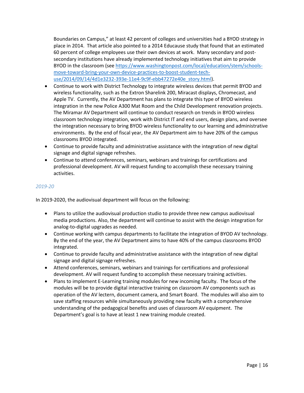Boundaries on Campus," at least 42 percent of colleges and universities had a BYOD strategy in place in 2014. That article also pointed to a 2014 Educause study that found that an estimated 60 percent of college employees use their own devices at work. Many secondary and postsecondary institutions have already implemented technology initiatives that aim to provide BYOD in the classroom (see [https://www.washingtonpost.com/local/education/stem/schools](https://www.washingtonpost.com/local/education/stem/schools-move-toward-bring-your-own-device-practices-to-boost-student-tech-use/2014/09/14/4d1e3232-393e-11e4-9c9f-ebb47272e40e_story.html)[move-toward-bring-your-own-device-practices-to-boost-student-tech](https://www.washingtonpost.com/local/education/stem/schools-move-toward-bring-your-own-device-practices-to-boost-student-tech-use/2014/09/14/4d1e3232-393e-11e4-9c9f-ebb47272e40e_story.html)[use/2014/09/14/4d1e3232-393e-11e4-9c9f-ebb47272e40e\\_story.html\)](https://www.washingtonpost.com/local/education/stem/schools-move-toward-bring-your-own-device-practices-to-boost-student-tech-use/2014/09/14/4d1e3232-393e-11e4-9c9f-ebb47272e40e_story.html).

- Continue to work with District Technology to integrate wireless devices that permit BYOD and wireless functionality, such as the Extron Sharelink 200, Miracast displays, Chromecast, and Apple TV. Currently, the AV Department has plans to integrate this type of BYOD wireless integration in the new Police A300 Mat Room and the Child Development renovation projects. The Miramar AV Department will continue to conduct research on trends in BYOD wireless classroom technology integration, work with District IT and end users, design plans, and oversee the integration necessary to bring BYOD wireless functionality to our learning and administrative environments. By the end of fiscal year, the AV Department aim to have 20% of the campus classrooms BYOD integrated.
- Continue to provide faculty and administrative assistance with the integration of new digital signage and digital signage refreshes.
- Continue to attend conferences, seminars, webinars and trainings for certifications and professional development. AV will request funding to accomplish these necessary training activities.

#### *2019-20*

In 2019-2020, the audiovisual department will focus on the following:

- Plans to utilize the audiovisual production studio to provide three new campus audiovisual media productions. Also, the department will continue to assist with the design integration for analog-to-digital upgrades as needed.
- Continue working with campus departments to facilitate the integration of BYOD AV technology. By the end of the year, the AV Department aims to have 40% of the campus classrooms BYOD integrated.
- Continue to provide faculty and administrative assistance with the integration of new digital signage and digital signage refreshes.
- Attend conferences, seminars, webinars and trainings for certifications and professional development. AV will request funding to accomplish these necessary training activities.
- Plans to implement E-Learning training modules for new incoming faculty. The focus of the modules will be to provide digital interactive training on classroom AV components such as operation of the AV lectern, document camera, and Smart Board. The modules will also aim to save staffing resources while simultaneously providing new faculty with a comprehensive understanding of the pedagogical benefits and uses of classroom AV equipment. The Department's goal is to have at least 1 new training module created.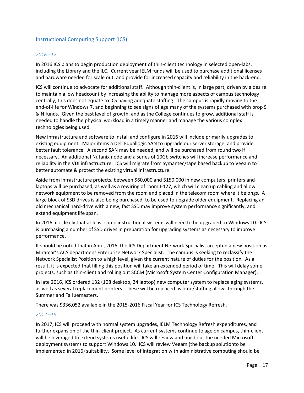#### Instructional Computing Support (ICS)

#### *2016 –17*

In 2016 ICS plans to begin production deployment of thin-client technology in selected open-labs, including the Library and the ILC. Current year IELM funds will be used to purchase additional licenses and hardware needed for scale out, and provide for increased capacity and reliability in the back-end.

ICS will continue to advocate for additional staff. Although thin-client is, in large part, driven by a desire to maintain a low headcount by increasing the ability to manage more aspects of campus technology centrally, this does not equate to ICS having adequate staffing. The campus is rapidly moving to the end-of-life for Windows 7, and beginning to see signs of age many of the systems purchased with prop S & N funds. Given the past level of growth, and as the College continues to grow, additional staff is needed to handle the physical workload in a timely manner and manage the various complex technologies being used.

New infrastructure and software to install and configure in 2016 will include primarily upgrades to existing equipment. Major items a Dell Equallogic SAN to upgrade our server storage, and provide better fault tolerance. A second SAN may be needed, and will be purchased from round two if necessary. An additional Nutanix node and a series of 10Gb switches will increase performance and reliability in the VDI infrastructure. ICS will migrate from Symantec/tape based backup to Veeam to better automate & protect the existing virtual infrastructure.

Aside from infrastructure projects, between \$60,000 and \$150,000 in new computers, printers and laptops will be purchased, as well as a rewiring of room I-127, which will clean up cabling and allow network equipment to be removed from the room and placed in the telecom room where it belongs. A large block of SSD drives is also being purchased, to be used to upgrade older equipment. Replacing an old mechanical hard-drive with a new, fast SSD may improve system performance significantly, and extend equipment life span.

In 2016, it is likely that at least some instructional systems will need to be upgraded to Windows 10. ICS is purchasing a number of SSD drives in preparation for upgrading systems as necessary to improve performance.

It should be noted that in April, 2016, the ICS Department Network Specialist accepted a new position as Miramar's ACS department Enterprise Network Specialist. The campus is seeking to reclassify the Network Specialist Position to a high level, given the current nature of duties for the position. As a result, it is expected that filling this position will take an extended period of time. This will delay some projects, such as thin-client and rolling out SCCM (Microsoft System Center Configuration Manager).

In late 2016, ICS ordered 132 (108 desktop, 24 laptop) new computer system to replace aging systems, as well as several replacement printers. These will be replaced as time/staffing allows through the Summer and Fall semesters.

There was \$336,052 available in the 2015-2016 Fiscal Year for ICS Technology Refresh.

#### *2017 –18*

In 2017, ICS will proceed with normal system upgrades, IELM Technology Refresh expenditures, and further expansion of the thin-client project. As current systems continue to age on campus, thin-client will be leveraged to extend systems useful life. ICS will review and build out the needed Microsoft deployment systems to support Windows 10. ICS will review Veeam (the backup solutionto be implemented in 2016) suitability. Some level of integration with administrative computing should be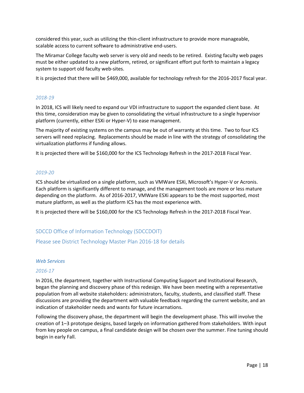considered this year, such as utilizing the thin-client infrastructure to provide more manageable, scalable access to current software to administrative end-users.

The Miramar College faculty web server is very old and needs to be retired. Existing faculty web pages must be either updated to a new platform, retired, or significant effort put forth to maintain a legacy system to support old faculty web-sites.

It is projected that there will be \$469,000, available for technology refresh for the 2016-2017 fiscal year.

#### *2018-19*

In 2018, ICS will likely need to expand our VDI infrastructure to support the expanded client base. At this time, consideration may be given to consolidating the virtual infrastructure to a single hypervisor platform (currently, either ESXi or Hyper-V) to ease management.

The majority of existing systems on the campus may be out of warranty at this time. Two to four ICS servers will need replacing. Replacements should be made in line with the strategy of consolidating the virtualization platforms if funding allows.

It is projected there will be \$160,000 for the ICS Technology Refresh in the 2017-2018 Fiscal Year.

#### *2019-20*

ICS should be virtualized on a single platform, such as VMWare ESXi, Microsoft's Hyper-V or Acronis. Each platform is significantly different to manage, and the management tools are more or less mature depending on the platform. As of 2016-2017, VMWare ESXi appears to be the most supported, most mature platform, as well as the platform ICS has the most experience with.

It is projected there will be \$160,000 for the ICS Technology Refresh in the 2017-2018 Fiscal Year.

#### <span id="page-17-0"></span>SDCCD Office of Information Technology (SDCCDOIT)

#### Please see District Technology Master Plan 2016-18 for details

#### *Web Services*

#### *2016-17*

In 2016, the department, together with Instructional Computing Support and Institutional Research, began the planning and discovery phase of this redesign. We have been meeting with a representative population from all website stakeholders: administrators, faculty, students, and classified staff. These discussions are providing the department with valuable feedback regarding the current website, and an indication of stakeholder needs and wants for future incarnations.

Following the discovery phase, the department will begin the development phase. This will involve the creation of 1–3 prototype designs, based largely on information gathered from stakeholders. With input from key people on campus, a final candidate design will be chosen over the summer. Fine tuning should begin in early Fall.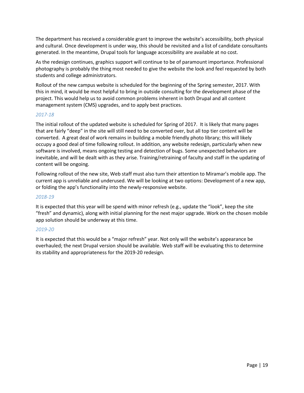The department has received a considerable grant to improve the website's accessibility, both physical and cultural. Once development is under way, this should be revisited and a list of candidate consultants generated. In the meantime, Drupal tools for language accessibility are available at no cost.

As the redesign continues, graphics support will continue to be of paramount importance. Professional photography is probably the thing most needed to give the website the look and feel requested by both students and college administrators.

Rollout of the new campus website is scheduled for the beginning of the Spring semester, 2017. With this in mind, it would be most helpful to bring in outside consulting for the development phase of the project. This would help us to avoid common problems inherent in both Drupal and all content management system (CMS) upgrades, and to apply best practices.

#### *2017-18*

The initial rollout of the updated website is scheduled for Spring of 2017. It is likely that many pages that are fairly "deep" in the site will still need to be converted over, but all top tier content will be converted. A great deal of work remains in building a mobile friendly photo library; this will likely occupy a good deal of time following rollout. In addition, any website redesign, particularly when new software is involved, means ongoing testing and detection of bugs. Some unexpected behaviors are inevitable, and will be dealt with as they arise. Training/retraining of faculty and staff in the updating of content will be ongoing.

Following rollout of the new site, Web staff must also turn their attention to Miramar's mobile app. The current app is unreliable and underused. We will be looking at two options: Development of a new app, or folding the app's functionality into the newly-responsive website.

#### *2018-19*

It is expected that this year will be spend with minor refresh (e.g., update the "look", keep the site "fresh" and dynamic), along with initial planning for the next major upgrade. Work on the chosen mobile app solution should be underway at this time.

#### *2019-20*

It is expected that this would be a "major refresh" year. Not only will the website's appearance be overhauled; the next Drupal version should be available. Web staff will be evaluating this to determine its stability and appropriateness for the 2019-20 redesign.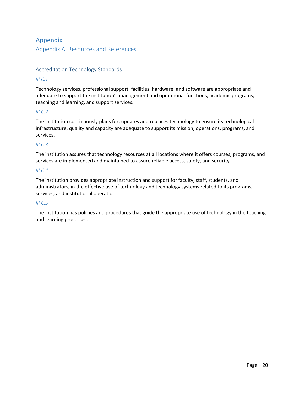## Appendix

<span id="page-19-0"></span>Appendix A: Resources and References

#### <span id="page-19-1"></span>Accreditation Technology Standards

#### *III.C.1*

Technology services, professional support, facilities, hardware, and software are appropriate and adequate to support the institution's management and operational functions, academic programs, teaching and learning, and support services.

#### *III.C.2*

The institution continuously plans for, updates and replaces technology to ensure its technological infrastructure, quality and capacity are adequate to support its mission, operations, programs, and services.

#### *III.C.3*

The institution assures that technology resources at all locations where it offers courses, programs, and services are implemented and maintained to assure reliable access, safety, and security.

#### *III.C.4*

The institution provides appropriate instruction and support for faculty, staff, students, and administrators, in the effective use of technology and technology systems related to its programs, services, and institutional operations.

#### *III.C.5*

The institution has policies and procedures that guide the appropriate use of technology in the teaching and learning processes.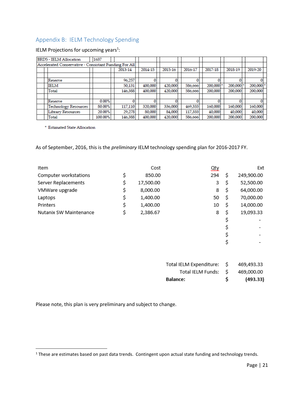## <span id="page-20-0"></span>Appendix B: IELM Technology Spending

#### IELM Projections for upcoming years<sup>1</sup>:

| <b>BRDS</b> - IELM Allocation                         | 1637     |         |         |         |         |           |           |         |
|-------------------------------------------------------|----------|---------|---------|---------|---------|-----------|-----------|---------|
| Accelerated Conservative - Consistant Funding For All |          |         |         |         |         |           |           |         |
|                                                       |          | 2013-14 | 2014-15 | 2015-16 | 2016-17 | 2017-18   | 2018-19   | 2019-20 |
|                                                       |          |         |         |         |         |           |           |         |
| Reserve                                               |          | 96,257  |         |         |         |           | 0         |         |
| <b>IELM</b>                                           |          | 50,131  | 400,000 | 420,000 | 586,666 | 200,000 * | 200,000 * | 200,000 |
| Total                                                 |          | 146,388 | 400,000 | 420,000 | 586,666 | 200,000   | 200,000   | 200,000 |
|                                                       |          |         |         |         |         |           |           |         |
| Reserve                                               | $0.00\%$ |         |         |         |         |           | 0         |         |
| Technology Resources                                  | 80.00%   | 117,110 | 320,000 | 336,000 | 469,333 | 160,000   | 160,000   | 160,000 |
| <b>Library Resources</b>                              | 20.00%   | 29,278  | 80,000  | 84,000  | 117,333 | 40,000    | 40,000    | 40,000  |
| Total                                                 | 100.00%  | 146,388 | 400,000 | 420,000 | 586,666 | 200,000   | 200,000   | 200,000 |

\* Estimated State Allocation

As of September, 2016, this is the *preliminary* IELM technology spending plan for 2016-2017 FY.

| Item                   | Cost            | Qty | Ext              |
|------------------------|-----------------|-----|------------------|
| Computer workstations  | \$<br>850.00    | 294 | \$<br>249,900.00 |
| Server Replacements    | \$<br>17,500.00 | 3   | \$<br>52,500.00  |
| VMWare upgrade         | \$<br>8,000.00  | 8   | \$<br>64,000.00  |
| Laptops                | \$<br>1,400.00  | 50  | \$<br>70,000.00  |
| Printers               | \$<br>1,400.00  | 10  | \$<br>14,000.00  |
| Nutanix SW Maintenance | \$<br>2,386.67  | 8   | \$<br>19,093.33  |
|                        |                 |     | \$<br>-          |
|                        |                 |     | \$<br>-          |
|                        |                 |     | \$               |
|                        |                 |     | \$               |
|                        |                 |     |                  |
|                        |                 |     |                  |

| <b>Balance:</b>         | S  | (493.33)   |
|-------------------------|----|------------|
| Total IELM Funds:       | -S | 469,000.00 |
| Total IELM Expenditure: | Ŝ. | 469,493.33 |

Please note, this plan is very preliminary and subject to change.

 $\overline{\phantom{a}}$ 

<sup>&</sup>lt;sup>1</sup> These are estimates based on past data trends. Contingent upon actual state funding and technology trends.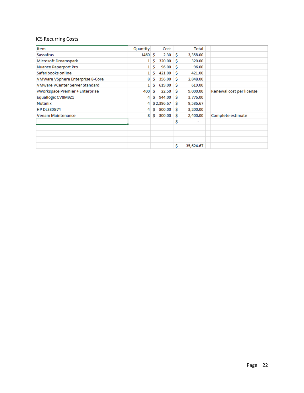## ICS Recurring Costs

| Item                                  | Quantity |    | Cost       |    | Total     |                          |
|---------------------------------------|----------|----|------------|----|-----------|--------------------------|
| Sassafras                             | 1460     | Ŝ  | 2.30       | -Ŝ | 3,358.00  |                          |
| Microsoft Dreamspark                  | 1        | Ś  | 320.00     | Ŝ  | 320.00    |                          |
| Nuance Paperport Pro                  | 1        | Ŝ  | 96.00      | Ś  | 96.00     |                          |
| Safaribooks online                    | 1        | Ŝ  | 421.00     | -Ŝ | 421.00    |                          |
| VMWare VSphere Enterprise 8-Core      | 8        | Ŝ  | 356.00     | Ŝ  | 2,848.00  |                          |
| <b>VMware VCenter Server Standard</b> | 1        | Ś  | 619.00     | Ŝ  | 619.00    |                          |
| vWorkspace Premier + Enterprise       | 400      | Ŝ  | 22.50      | Ŝ  | 9,000.00  | Renewal cost per license |
| Equallogic CV8M9Z1                    | 4        | Ŝ  | 944.00     | -Ŝ | 3,776.00  |                          |
| Nutanix                               | 4        |    | \$2,396.67 | Ŝ  | 9,586.67  |                          |
| <b>HP DL380G74</b>                    | 4        | Ŝ. | 800.00     | Ŝ  | 3,200.00  |                          |
| <b>Veeam Maintenance</b>              | 8        | Ŝ. | 300.00     | Ŝ  | 2,400.00  | Complete estimate        |
|                                       |          |    |            | Ś  | ۰         |                          |
|                                       |          |    |            |    |           |                          |
|                                       |          |    |            |    |           |                          |
|                                       |          |    |            |    |           |                          |
|                                       |          |    |            | Ś  | 35,624.67 |                          |